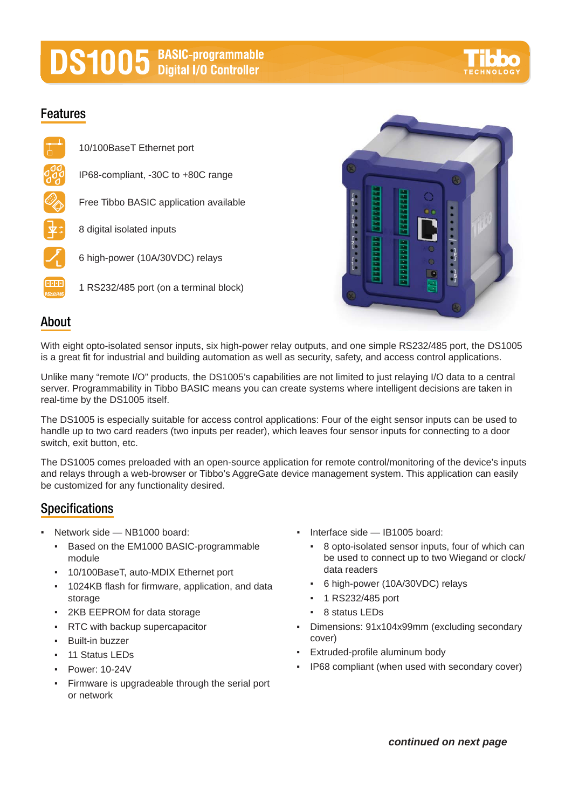# **DS1005** BASIC-programmable

## **Features**





### **About**

With eight opto-isolated sensor inputs, six high-power relay outputs, and one simple RS232/485 port, the DS1005 is a great fit for industrial and building automation as well as security, safety, and access control applications.

Unlike many "remote I/O" products, the DS1005's capabilities are not limited to just relaying I/O data to a central server. Programmability in Tibbo BASIC means you can create systems where intelligent decisions are taken in real-time by the DS1005 itself.

The DS1005 is especially suitable for access control applications: Four of the eight sensor inputs can be used to handle up to two card readers (two inputs per reader), which leaves four sensor inputs for connecting to a door switch, exit button, etc.

The DS1005 comes preloaded with an open-source application for remote control/monitoring of the device's inputs and relays through a web-browser or Tibbo's AggreGate device management system. This application can easily be customized for any functionality desired.

## **Specifications**

- Network side NB1000 board:
	- Based on the EM1000 BASIC-programmable module
	- 10/100BaseT, auto-MDIX Ethernet port
	- 1024KB flash for firmware, application, and data storage
	- 2KB EEPROM for data storage
	- RTC with backup supercapacitor
	- **Built-in buzzer**
	- 11 Status LEDs
	- Power: 10-24V
	- Firmware is upgradeable through the serial port or network
- Interface side IB1005 board:
	- 8 opto-isolated sensor inputs, four of which can be used to connect up to two Wiegand or clock/ data readers
	- 6 high-power (10A/30VDC) relays
	- 1 RS232/485 port
	- 8 status LEDs
- Dimensions: 91x104x99mm (excluding secondary cover)
- Extruded-profile aluminum body
- IP68 compliant (when used with secondary cover)